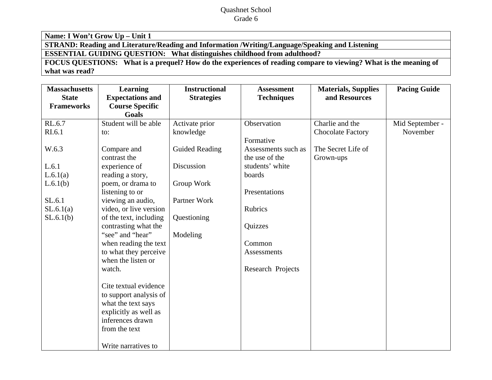### Quashnet School Grade 6

**Name: I Won't Grow Up – Unit 1** 

**STRAND: Reading and Literature/Reading and Information /Writing/Language/Speaking and Listening** 

**ESSENTIAL GUIDING QUESTION: What distinguishes childhood from adulthood?**

**FOCUS QUESTIONS: What is a prequel? How do the experiences of reading compare to viewing? What is the meaning of what was read?**

| <b>Massachusetts</b> | <b>Learning</b>         | <b>Instructional</b>  | <b>Assessment</b>   | <b>Materials, Supplies</b> | <b>Pacing Guide</b> |
|----------------------|-------------------------|-----------------------|---------------------|----------------------------|---------------------|
| <b>State</b>         | <b>Expectations and</b> | <b>Strategies</b>     | <b>Techniques</b>   | and Resources              |                     |
| <b>Frameworks</b>    | <b>Course Specific</b>  |                       |                     |                            |                     |
|                      | Goals                   |                       |                     |                            |                     |
| RL.6.7               | Student will be able    | Activate prior        | Observation         | Charlie and the            | Mid September -     |
| RI.6.1               | to:                     | knowledge             |                     | <b>Chocolate Factory</b>   | November            |
|                      |                         |                       | Formative           |                            |                     |
| W.6.3                | Compare and             | <b>Guided Reading</b> | Assessments such as | The Secret Life of         |                     |
|                      | contrast the            |                       | the use of the      | Grown-ups                  |                     |
| L.6.1                | experience of           | Discussion            | students' white     |                            |                     |
| L.6.1(a)             | reading a story,        |                       | boards              |                            |                     |
| L.6.1(b)             | poem, or drama to       | Group Work            |                     |                            |                     |
|                      | listening to or         |                       | Presentations       |                            |                     |
| SL.6.1               | viewing an audio,       | Partner Work          |                     |                            |                     |
| SL.6.1(a)            | video, or live version  |                       | <b>Rubrics</b>      |                            |                     |
| SL.6.1(b)            | of the text, including  | Questioning           |                     |                            |                     |
|                      | contrasting what the    |                       | Quizzes             |                            |                     |
|                      | "see" and "hear"        | Modeling              |                     |                            |                     |
|                      | when reading the text   |                       | Common              |                            |                     |
|                      | to what they perceive   |                       | Assessments         |                            |                     |
|                      | when the listen or      |                       |                     |                            |                     |
|                      | watch.                  |                       | Research Projects   |                            |                     |
|                      |                         |                       |                     |                            |                     |
|                      | Cite textual evidence   |                       |                     |                            |                     |
|                      | to support analysis of  |                       |                     |                            |                     |
|                      | what the text says      |                       |                     |                            |                     |
|                      | explicitly as well as   |                       |                     |                            |                     |
|                      | inferences drawn        |                       |                     |                            |                     |
|                      | from the text           |                       |                     |                            |                     |
|                      |                         |                       |                     |                            |                     |
|                      | Write narratives to     |                       |                     |                            |                     |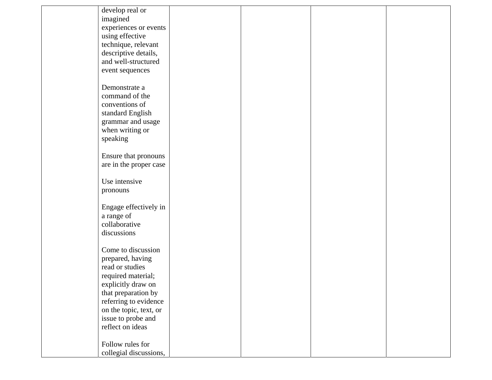| develop real or        |  |  |
|------------------------|--|--|
| imagined               |  |  |
| experiences or events  |  |  |
| using effective        |  |  |
| technique, relevant    |  |  |
| descriptive details,   |  |  |
| and well-structured    |  |  |
| event sequences        |  |  |
|                        |  |  |
| Demonstrate a          |  |  |
| command of the         |  |  |
| conventions of         |  |  |
| standard English       |  |  |
| grammar and usage      |  |  |
| when writing or        |  |  |
| speaking               |  |  |
|                        |  |  |
| Ensure that pronouns   |  |  |
| are in the proper case |  |  |
|                        |  |  |
| Use intensive          |  |  |
| pronouns               |  |  |
|                        |  |  |
| Engage effectively in  |  |  |
| a range of             |  |  |
| collaborative          |  |  |
| discussions            |  |  |
|                        |  |  |
| Come to discussion     |  |  |
| prepared, having       |  |  |
| read or studies        |  |  |
| required material;     |  |  |
| explicitly draw on     |  |  |
| that preparation by    |  |  |
| referring to evidence  |  |  |
| on the topic, text, or |  |  |
| issue to probe and     |  |  |
| reflect on ideas       |  |  |
|                        |  |  |
| Follow rules for       |  |  |
| collegial discussions, |  |  |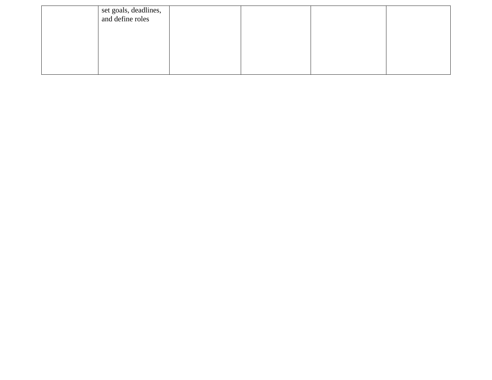| set goals, deadlines,<br>and define roles |  |  |
|-------------------------------------------|--|--|
|                                           |  |  |
|                                           |  |  |
|                                           |  |  |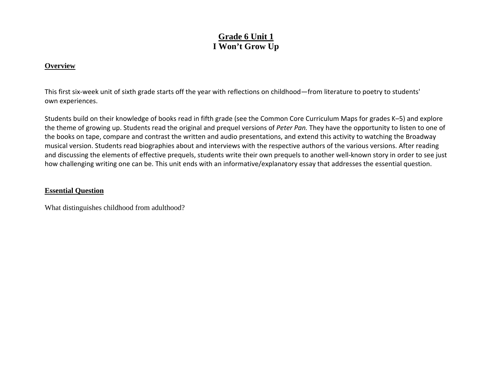## **Grade 6 Unit 1 I Won't Grow Up**

## **Overview**

This first six‐week unit of sixth grade starts off the year with reflections on childhood—from literature to poetry to students' own experiences.

Students build on their knowledge of books read in fifth grade (see the Common Core Curriculum Maps for grades K–5) and explore the theme of growing up. Students read the original and prequel versions of *Peter Pan.* They have the opportunity to listen to one of the books on tape, compare and contrast the written and audio presentations, and extend this activity to watching the Broadway musical version. Students read biographies about and interviews with the respective authors of the various versions. After reading and discussing the elements of effective prequels, students write their own prequels to another well‐known story in order to see just how challenging writing one can be. This unit ends with an informative/explanatory essay that addresses the essential question.

### **Essential Question**

What distinguishes childhood from adulthood?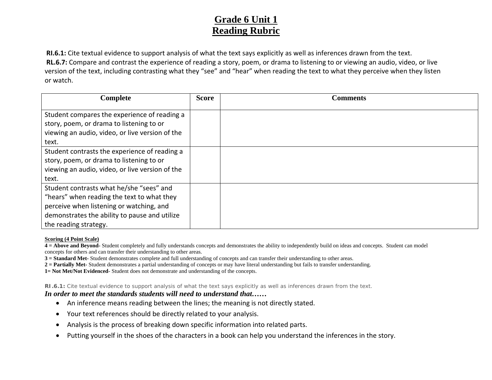# **Grade 6 Unit 1 Reading Rubric**

**RI.6.1:** Cite textual evidence to support analysis of what the text says explicitly as well as inferences drawn from the text. **RL.6.7:** Compare and contrast the experience of reading <sup>a</sup> story, poem, or drama to listening to or viewing an audio, video, or live version of the text, including contrasting what they "see" and "hear" when reading the text to what they perceive when they listen or watch.

| Complete                                                                                                                                                                                                     | <b>Score</b> | <b>Comments</b> |
|--------------------------------------------------------------------------------------------------------------------------------------------------------------------------------------------------------------|--------------|-----------------|
| Student compares the experience of reading a<br>story, poem, or drama to listening to or<br>viewing an audio, video, or live version of the<br>text.                                                         |              |                 |
| Student contrasts the experience of reading a<br>story, poem, or drama to listening to or<br>viewing an audio, video, or live version of the<br>text.                                                        |              |                 |
| Student contrasts what he/she "sees" and<br>"hears" when reading the text to what they<br>perceive when listening or watching, and<br>demonstrates the ability to pause and utilize<br>the reading strategy. |              |                 |

#### **Scoring (4 Point Scale)**

**4 = Above and Beyond-** Student completely and fully understands concepts and demonstrates the ability to independently build on ideas and concepts. Student can model concepts for others and can transfer their understanding to other areas.

**3 = Standard Met-** Student demonstrates complete and full understanding of concepts and can transfer their understanding to other areas.

**2 = Partially Met-** Student demonstrates a partial understanding of concepts or may have literal understanding but fails to transfer understanding.

**1= Not Met/Not Evidenced**- Student does not demonstrate and understanding of the concepts.

**RI.6.1:** Cite textual evidence to support analysis of what the text says explicitly as well as inferences drawn from the text.

## *In order to meet the standards students will need to understand that……*

- An inference means reading between the lines; the meaning is not directly stated.
- $\bullet$ Your text references should be directly related to your analysis.
- $\bullet$ Analysis is the process of breaking down specific information into related parts.
- $\bullet$ Putting yourself in the shoes of the characters in <sup>a</sup> book can help you understand the inferences in the story.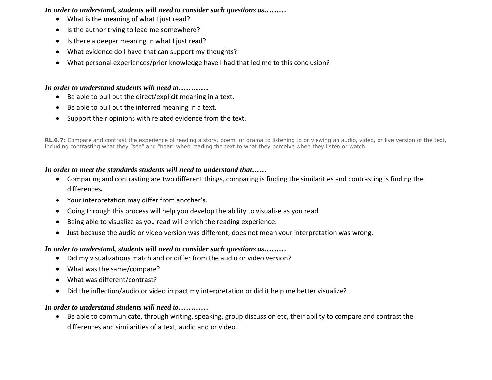#### *In order to understand, students will need to consider such questions as………*

- What is the meaning of what I just read?
- $\bullet$ • Is the author trying to lead me somewhere?
- $\bullet$ • Is there a deeper meaning in what I just read?
- $\bullet$ What evidence do I have that can support my thoughts?
- $\bullet$ What personal experiences/prior knowledge have I had that led me to this conclusion?

#### *In order to understand students will need to…………*

- Be able to pull out the direct/explicit meaning in <sup>a</sup> text.
- $\bullet$ • Be able to pull out the inferred meaning in a text.
- $\bullet$ Support their opinions with related evidence from the text.

**RL.6.7:** Compare and contrast the experience of reading a story, poem, or drama to listening to or viewing an audio, video, or live version of the text, including contrasting what they "see" and "hear" when reading the text to what they perceive when they listen or watch.

#### *In order to meet the standards students will need to understand that……*

- Comparing and contrasting are two different things, comparing is finding the similarities and contrasting is finding the differences*.*
- $\bullet$ Your interpretation may differ from another's.
- $\bullet$ Going through this process will help you develop the ability to visualize as you read.
- $\bullet$ Being able to visualize as you read will enrich the reading experience.
- $\bullet$ Just because the audio or video version was different, does not mean your interpretation was wrong.

### *In order to understand, students will need to consider such questions as………*

- $\bullet$ Did my visualizations match and or differ from the audio or video version?
- $\bullet$ What was the same/compare?
- $\bullet$ What was different/contrast?
- $\bullet$ Did the inflection/audio or video impact my interpretation or did it help me better visualize?

#### *In order to understand students will need to…………*

 Be able to communicate, through writing, speaking, group discussion etc, their ability to compare and contrast the differences and similarities of <sup>a</sup> text, audio and or video.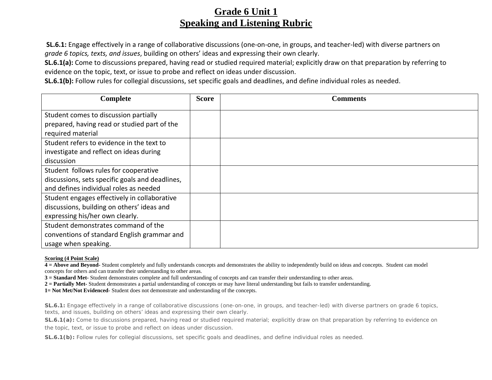# **Grade 6 Unit 1 Speaking and Listening Rubric**

**SL.6.1:** Engage effectively in <sup>a</sup> range of collaborative discussions (one‐on‐one, in groups, and teacher‐led) with diverse partners on *grade 6 topics, texts, and issues*, building on others' ideas and expressing their own clearly.

**SL.6.1(a):** Come to discussions prepared, having read or studied required material; explicitly draw on that preparation by referring to evidence on the topic, text, or issue to probe and reflect on ideas under discussion.

**SL.6.1(b):** Follow rules for collegial discussions, set specific goals and deadlines, and define individual roles as needed.

| Complete                                        | <b>Score</b> | <b>Comments</b> |
|-------------------------------------------------|--------------|-----------------|
| Student comes to discussion partially           |              |                 |
| prepared, having read or studied part of the    |              |                 |
| required material                               |              |                 |
| Student refers to evidence in the text to       |              |                 |
| investigate and reflect on ideas during         |              |                 |
| discussion                                      |              |                 |
| Student follows rules for cooperative           |              |                 |
| discussions, sets specific goals and deadlines, |              |                 |
| and defines individual roles as needed          |              |                 |
| Student engages effectively in collaborative    |              |                 |
| discussions, building on others' ideas and      |              |                 |
| expressing his/her own clearly.                 |              |                 |
| Student demonstrates command of the             |              |                 |
| conventions of standard English grammar and     |              |                 |
| usage when speaking.                            |              |                 |

#### **Scoring (4 Point Scale)**

**4 = Above and Beyond-** Student completely and fully understands concepts and demonstrates the ability to independently build on ideas and concepts. Student can model concepts for others and can transfer their understanding to other areas.

**3 = Standard Met-** Student demonstrates complete and full understanding of concepts and can transfer their understanding to other areas.

**2 = Partially Met-** Student demonstrates a partial understanding of concepts or may have literal understanding but fails to transfer understanding.

**1= Not Met/Not Evidenced**- Student does not demonstrate and understanding of the concepts.

**SL.6.1:** Engage effectively in a range of collaborative discussions (one-on-one, in groups, and teacher-led) with diverse partners on *grade 6 topics, texts, and issues*, building on others' ideas and expressing their own clearly.

**SL.6.1(a):** Come to discussions prepared, having read or studied required material; explicitly draw on that preparation by referring to evidence on the topic, text, or issue to probe and reflect on ideas under discussion.

**SL.6.1(b):** Follow rules for collegial discussions, set specific goals and deadlines, and define individual roles as needed.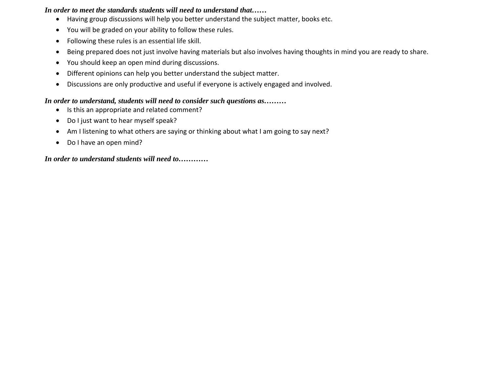### *In order to meet the standards students will need to understand that……*

- Having group discussions will help you better understand the subject matter, books etc.
- $\bullet$ You will be graded on your ability to follow these rules.
- $\bullet$ Following these rules is an essential life skill.
- $\bullet$ Being prepared does not just involve having materials but also involves having thoughts in mind you are ready to share.
- $\bullet$ You should keep an open mind during discussions.
- $\bullet$ Different opinions can help you better understand the subject matter.
- $\bullet$ Discussions are only productive and useful if everyone is actively engaged and involved.

## *In order to understand, students will need to consider such questions as………*

- Is this an appropriate and related comment?
- $\bullet$ Do I just want to hear myself speak?
- Am I listening to what others are saying or thinking about what I am going to say next?
- $\bullet$ • Do I have an open mind?

## *In order to understand students will need to…………*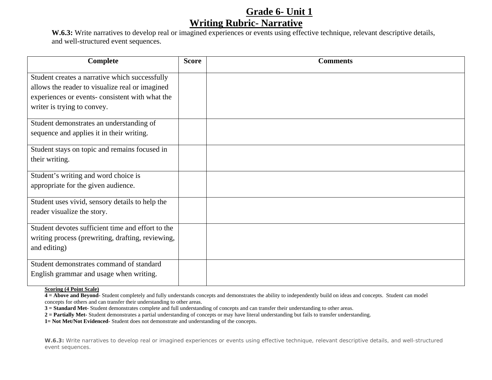## **Grade 6- Unit 1 Writing Rubric- Narrative**

**W.6.3:** Write narratives to develop real or imagined experiences or events using effective technique, relevant descriptive details, and well-structured event sequences.

| Complete                                                                                                                                                                           | <b>Score</b> | <b>Comments</b> |
|------------------------------------------------------------------------------------------------------------------------------------------------------------------------------------|--------------|-----------------|
| Student creates a narrative which successfully<br>allows the reader to visualize real or imagined<br>experiences or events-consistent with what the<br>writer is trying to convey. |              |                 |
| Student demonstrates an understanding of<br>sequence and applies it in their writing.                                                                                              |              |                 |
| Student stays on topic and remains focused in<br>their writing.                                                                                                                    |              |                 |
| Student's writing and word choice is<br>appropriate for the given audience.                                                                                                        |              |                 |
| Student uses vivid, sensory details to help the<br>reader visualize the story.                                                                                                     |              |                 |
| Student devotes sufficient time and effort to the<br>writing process (prewriting, drafting, reviewing,<br>and editing)                                                             |              |                 |
| Student demonstrates command of standard<br>English grammar and usage when writing.                                                                                                |              |                 |

#### **Scoring (4 Point Scale)**

**4 = Above and Beyond-** Student completely and fully understands concepts and demonstrates the ability to independently build on ideas and concepts. Student can model concepts for others and can transfer their understanding to other areas.

**3 = Standard Met-** Student demonstrates complete and full understanding of concepts and can transfer their understanding to other areas.

**2 = Partially Met-** Student demonstrates a partial understanding of concepts or may have literal understanding but fails to transfer understanding.

**1= Not Met/Not Evidenced**- Student does not demonstrate and understanding of the concepts.

**W.6.3:** Write narratives to develop real or imagined experiences or events using effective technique, relevant descriptive details, and well-structured event sequences.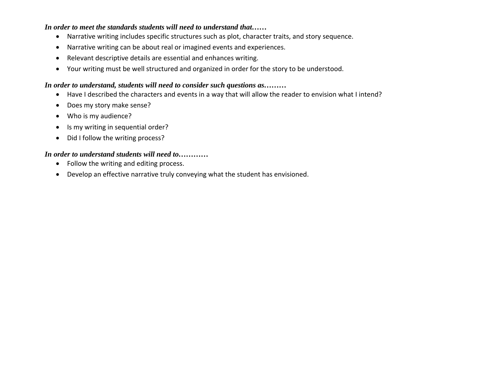#### *In order to meet the standards students will need to understand that……*

- $\bullet$ Narrative writing includes specific structures such as plot, character traits, and story sequence.
- $\bullet$ Narrative writing can be about real or imagined events and experiences.
- $\bullet$ Relevant descriptive details are essential and enhances writing.
- Your writing must be well structured and organized in order for the story to be understood.

#### *In order to understand, students will need to consider such questions as………*

- Have I described the characters and events in <sup>a</sup> way that will allow the reader to envision what I intend?
- $\bullet$ Does my story make sense?
- $\bullet$ Who is my audience?
- $\bullet$ Is my writing in sequential order?
- $\bullet$ • Did I follow the writing process?

#### *In order to understand students will need to…………*

- Follow the writing and editing process.
- Develop an effective narrative truly conveying what the student has envisioned.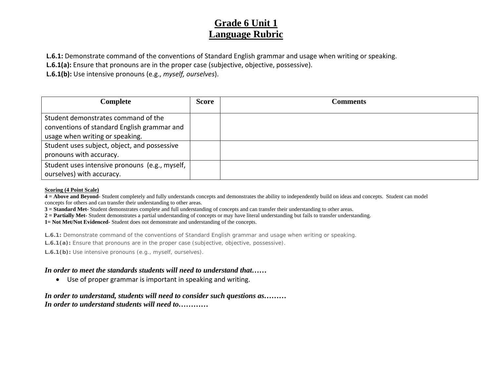# **Grade 6 Unit 1 Language Rubric**

**L.6.1:** Demonstrate command of the conventions of Standard English grammar and usage when writing or speaking.

**L.6.1(a):** Ensure that pronouns are in the proper case (subjective, objective, possessive).

**L.6.1(b):** Use intensive pronouns (e.g., *myself, ourselves*).

| Complete                                                                                                              | <b>Score</b> | Comments |
|-----------------------------------------------------------------------------------------------------------------------|--------------|----------|
| Student demonstrates command of the<br>conventions of standard English grammar and<br>usage when writing or speaking. |              |          |
| Student uses subject, object, and possessive<br>pronouns with accuracy.                                               |              |          |
| Student uses intensive pronouns (e.g., myself,<br>ourselves) with accuracy.                                           |              |          |

#### **Scoring (4 Point Scale)**

**4 = Above and Beyond-** Student completely and fully understands concepts and demonstrates the ability to independently build on ideas and concepts. Student can model concepts for others and can transfer their understanding to other areas.

**3 = Standard Met-** Student demonstrates complete and full understanding of concepts and can transfer their understanding to other areas.

**2 = Partially Met-** Student demonstrates a partial understanding of concepts or may have literal understanding but fails to transfer understanding.

**1= Not Met/Not Evidenced**- Student does not demonstrate and understanding of the concepts.

**L.6.1:** Demonstrate command of the conventions of Standard English grammar and usage when writing or speaking.

**L.6.1(a):** Ensure that pronouns are in the proper case (subjective, objective, possessive).

**L.6.1(b):** Use intensive pronouns (e.g., *myself, ourselves*).

### *In order to meet the standards students will need to understand that……*

Use of proper grammar is important in speaking and writing.

## *In order to understand, students will need to consider such questions as……… In order to understand students will need to…………*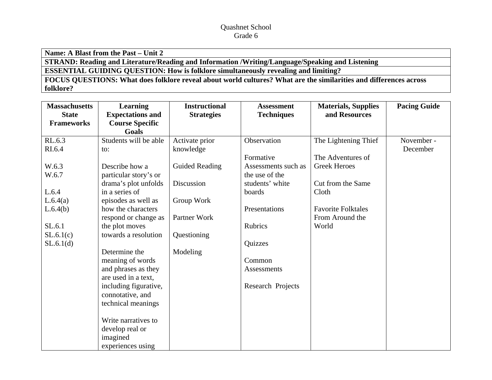## Quashnet School Grade 6

**Name: A Blast from the Past – Unit 2** 

**STRAND: Reading and Literature/Reading and Information /Writing/Language/Speaking and Listening**

**ESSENTIAL GUIDING QUESTION: How is folklore simultaneously revealing and limiting?** 

**FOCUS QUESTIONS: What does folklore reveal about world cultures? What are the similarities and differences across folklore?**

| <b>Massachusetts</b> | <b>Learning</b>         | <b>Instructional</b>  | <b>Assessment</b>   | <b>Materials, Supplies</b> | <b>Pacing Guide</b> |
|----------------------|-------------------------|-----------------------|---------------------|----------------------------|---------------------|
| <b>State</b>         | <b>Expectations and</b> | <b>Strategies</b>     | <b>Techniques</b>   | and Resources              |                     |
| <b>Frameworks</b>    | <b>Course Specific</b>  |                       |                     |                            |                     |
|                      | Goals                   |                       |                     |                            |                     |
| RL.6.3               | Students will be able   | Activate prior        | Observation         | The Lightening Thief       | November -          |
| RI.6.4               | to:                     | knowledge             |                     |                            | December            |
|                      |                         |                       | Formative           | The Adventures of          |                     |
| W.6.3                | Describe how a          | <b>Guided Reading</b> | Assessments such as | <b>Greek Heroes</b>        |                     |
| W.6.7                | particular story's or   |                       | the use of the      |                            |                     |
|                      | drama's plot unfolds    | Discussion            | students' white     | Cut from the Same          |                     |
| L.6.4                | in a series of          |                       | boards              | Cloth                      |                     |
| L.6.4(a)             | episodes as well as     | Group Work            |                     |                            |                     |
| L.6.4(b)             | how the characters      |                       | Presentations       | <b>Favorite Folktales</b>  |                     |
|                      | respond or change as    | Partner Work          |                     | From Around the            |                     |
| SL.6.1               | the plot moves          |                       | Rubrics             | World                      |                     |
| SL.6.1(c)            | towards a resolution    | Questioning           |                     |                            |                     |
| SL.6.1(d)            |                         |                       | Quizzes             |                            |                     |
|                      | Determine the           | Modeling              |                     |                            |                     |
|                      | meaning of words        |                       | Common              |                            |                     |
|                      | and phrases as they     |                       | Assessments         |                            |                     |
|                      | are used in a text,     |                       |                     |                            |                     |
|                      | including figurative,   |                       | Research Projects   |                            |                     |
|                      | connotative, and        |                       |                     |                            |                     |
|                      | technical meanings      |                       |                     |                            |                     |
|                      |                         |                       |                     |                            |                     |
|                      | Write narratives to     |                       |                     |                            |                     |
|                      | develop real or         |                       |                     |                            |                     |
|                      | imagined                |                       |                     |                            |                     |
|                      | experiences using       |                       |                     |                            |                     |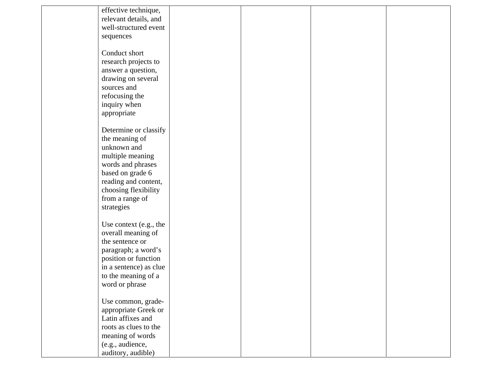| effective technique,   |  |  |
|------------------------|--|--|
| relevant details, and  |  |  |
| well-structured event  |  |  |
| sequences              |  |  |
|                        |  |  |
| Conduct short          |  |  |
| research projects to   |  |  |
|                        |  |  |
| answer a question,     |  |  |
| drawing on several     |  |  |
| sources and            |  |  |
| refocusing the         |  |  |
| inquiry when           |  |  |
| appropriate            |  |  |
|                        |  |  |
| Determine or classify  |  |  |
| the meaning of         |  |  |
| unknown and            |  |  |
| multiple meaning       |  |  |
| words and phrases      |  |  |
| based on grade 6       |  |  |
| reading and content,   |  |  |
| choosing flexibility   |  |  |
| from a range of        |  |  |
| strategies             |  |  |
|                        |  |  |
| Use context (e.g., the |  |  |
| overall meaning of     |  |  |
| the sentence or        |  |  |
| paragraph; a word's    |  |  |
| position or function   |  |  |
| in a sentence) as clue |  |  |
| to the meaning of a    |  |  |
|                        |  |  |
| word or phrase         |  |  |
|                        |  |  |
| Use common, grade-     |  |  |
| appropriate Greek or   |  |  |
| Latin affixes and      |  |  |
| roots as clues to the  |  |  |
| meaning of words       |  |  |
| (e.g., audience,       |  |  |
| auditory, audible)     |  |  |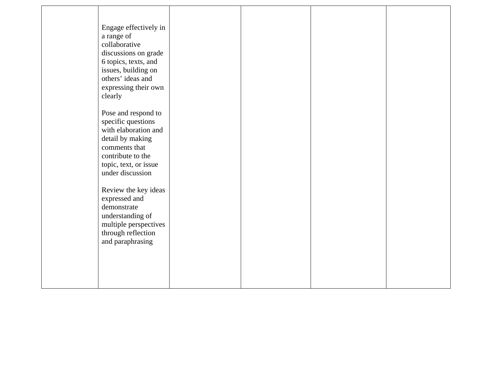| clearly | Engage effectively in<br>a range of<br>collaborative<br>discussions on grade<br>6 topics, texts, and<br>issues, building on<br>others' ideas and<br>expressing their own |  |  |
|---------|--------------------------------------------------------------------------------------------------------------------------------------------------------------------------|--|--|
|         | Pose and respond to<br>specific questions<br>with elaboration and<br>detail by making<br>comments that<br>contribute to the<br>topic, text, or issue<br>under discussion |  |  |
|         | Review the key ideas<br>expressed and<br>demonstrate<br>understanding of<br>multiple perspectives<br>through reflection<br>and paraphrasing                              |  |  |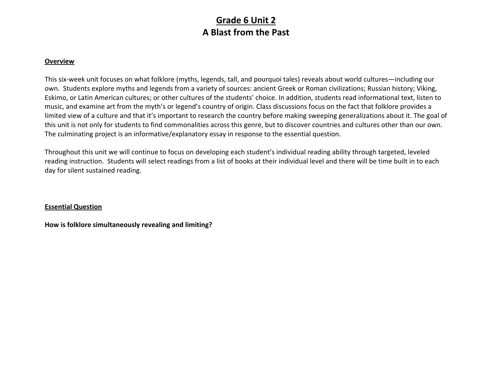# **Grade 6 Unit 2 A Blast from the Past**

#### **Overview**

This six‐week unit focuses on what folklore (myths, legends, tall, and pourquoi tales) reveals about world cultures—including our own. Students explore myths and legends from <sup>a</sup> variety of sources: ancient Greek or Roman civilizations; Russian history; Viking, Eskimo, or Latin American cultures; or other cultures of the students' choice. In addition, students read informational text, listen to music, and examine art from the myth's or legend's country of origin. Class discussions focus on the fact that folklore provides <sup>a</sup> limited view of <sup>a</sup> culture and that it's important to research the country before making sweeping generalizations about it. The goal of this unit is not only for students to find commonalities across this genre, but to discover countries and cultures other than our own. The culminating project is an informative/explanatory essay in response to the essential question.

Throughout this unit we will continue to focus on developing each student's individual reading ability through targeted, leveled reading instruction. Students will select readings from <sup>a</sup> list of books at their individual level and there will be time built in to each day for silent sustained reading.

### **Essential Question**

**How is folklore simultaneously revealing and limiting?**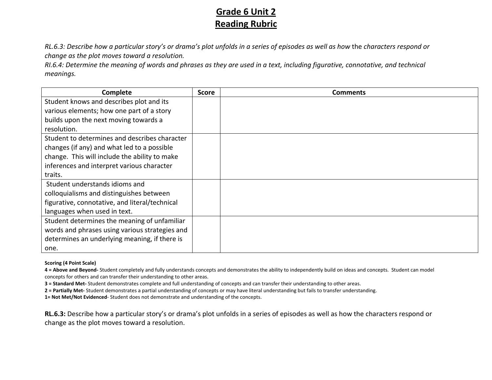# **Grade 6 Unit 2 Reading Rubric**

RL.6.3: Describe how a particular story's or drama's plot unfolds in a series of episodes as well as how the characters respond or *change as the plot moves toward <sup>a</sup> resolution.*

RI.6.4: Determine the meaning of words and phrases as they are used in a text, including figurative, connotative, and technical *meanings.*

| Complete                                       | <b>Score</b> | <b>Comments</b> |
|------------------------------------------------|--------------|-----------------|
| Student knows and describes plot and its       |              |                 |
| various elements; how one part of a story      |              |                 |
| builds upon the next moving towards a          |              |                 |
| resolution.                                    |              |                 |
| Student to determines and describes character  |              |                 |
| changes (if any) and what led to a possible    |              |                 |
| change. This will include the ability to make  |              |                 |
| inferences and interpret various character     |              |                 |
| traits.                                        |              |                 |
| Student understands idioms and                 |              |                 |
| colloquialisms and distinguishes between       |              |                 |
| figurative, connotative, and literal/technical |              |                 |
| languages when used in text.                   |              |                 |
| Student determines the meaning of unfamiliar   |              |                 |
| words and phrases using various strategies and |              |                 |
| determines an underlying meaning, if there is  |              |                 |
| one.                                           |              |                 |

#### **Scoring (4 Point Scale)**

**4 <sup>=</sup> Above and Beyond‐** Student completely and fully understands concepts and demonstrates the ability to independently build on ideas and concepts. Student can model concepts for others and can transfer their understanding to other areas.

**3 <sup>=</sup> Standard Met‐** Student demonstrates complete and full understanding of concepts and can transfer their understanding to other areas.

**2 <sup>=</sup> Partially Met‐** Student demonstrates <sup>a</sup> partial understanding of concepts or may have literal understanding but fails to transfer understanding.

**1= Not Met/Not Evidenced**‐ Student does not demonstrate and understanding of the concepts.

**RL.6.3:** Describe how <sup>a</sup> particular story's or drama's plot unfolds in <sup>a</sup> series of episodes as well as how the characters respond or change as the plot moves toward <sup>a</sup> resolution.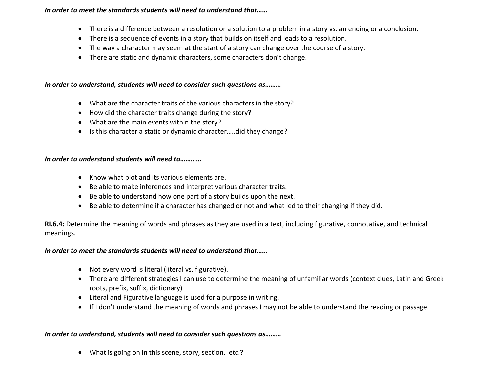### *In order to meet the standards students will need to understand that……*

- There is <sup>a</sup> difference between <sup>a</sup> resolution or <sup>a</sup> solution to <sup>a</sup> problem in <sup>a</sup> story vs. an ending or <sup>a</sup> conclusion.
- There is <sup>a</sup> sequence of events in <sup>a</sup> story that builds on itself and leads to <sup>a</sup> resolution.
- The way <sup>a</sup> character may seem at the start of <sup>a</sup> story can change over the course of <sup>a</sup> story.
- There are static and dynamic characters, some characters don't change.

### *In order to understand, students will need to consider such questions as………*

- What are the character traits of the various characters in the story?
- How did the character traits change during the story?
- What are the main events within the story?
- Is this character a static or dynamic character.....did they change?

## *In order to understand students will need to…………*

- Know what plot and its various elements are.
- Be able to make inferences and interpret various character traits.
- Be able to understand how one part of <sup>a</sup> story builds upon the next.
- Be able to determine if <sup>a</sup> character has changed or not and what led to their changing if they did.

**RI.6.4:** Determine the meaning of words and phrases as they are used in <sup>a</sup> text, including figurative, connotative, and technical meanings.

## *In order to meet the standards students will need to understand that……*

- Not every word is literal (literal vs. figurative).
- There are different strategies I can use to determine the meaning of unfamiliar words (context clues, Latin and Greek roots, prefix, suffix, dictionary)
- Literal and Figurative language is used for <sup>a</sup> purpose in writing.
- If I don't understand the meaning of words and phrases I may not be able to understand the reading or passage.

### *In order to understand, students will need to consider such questions as………*

What is going on in this scene, story, section, etc.?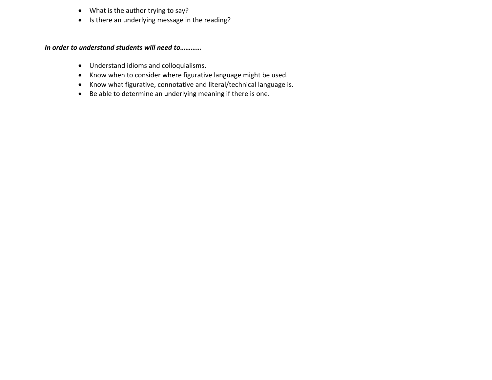- What is the author trying to say?
- **•** Is there an underlying message in the reading?

*In order to understand students will need to…………*

- Understand idioms and colloquialisms.
- Know when to consider where figurative language might be used.
- Know what figurative, connotative and literal/technical language is.
- Be able to determine an underlying meaning if there is one.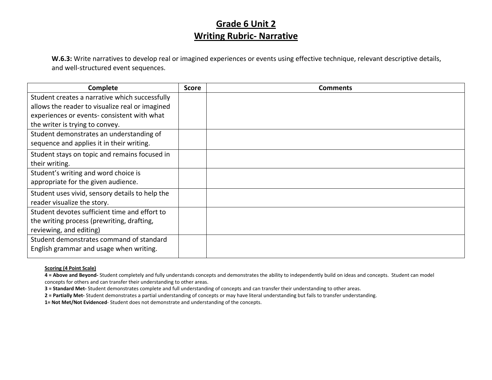# **Grade 6 Unit 2 Writing Rubric‐ Narrative**

**W.6.3:** Write narratives to develop real or imagined experiences or events using effective technique, relevant descriptive details, and well‐structured event sequences.

| Complete                                        | <b>Score</b> | <b>Comments</b> |
|-------------------------------------------------|--------------|-----------------|
| Student creates a narrative which successfully  |              |                 |
| allows the reader to visualize real or imagined |              |                 |
| experiences or events- consistent with what     |              |                 |
| the writer is trying to convey.                 |              |                 |
| Student demonstrates an understanding of        |              |                 |
| sequence and applies it in their writing.       |              |                 |
| Student stays on topic and remains focused in   |              |                 |
| their writing.                                  |              |                 |
| Student's writing and word choice is            |              |                 |
| appropriate for the given audience.             |              |                 |
| Student uses vivid, sensory details to help the |              |                 |
| reader visualize the story.                     |              |                 |
| Student devotes sufficient time and effort to   |              |                 |
| the writing process (prewriting, drafting,      |              |                 |
| reviewing, and editing)                         |              |                 |
| Student demonstrates command of standard        |              |                 |
| English grammar and usage when writing.         |              |                 |
|                                                 |              |                 |

#### **Scoring (4 Point Scale)**

**4 <sup>=</sup> Above and Beyond‐** Student completely and fully understands concepts and demonstrates the ability to independently build on ideas and concepts. Student can model concepts for others and can transfer their understanding to other areas.

**3 <sup>=</sup> Standard Met‐** Student demonstrates complete and full understanding of concepts and can transfer their understanding to other areas.

**2 <sup>=</sup> Partially Met‐** Student demonstrates <sup>a</sup> partial understanding of concepts or may have literal understanding but fails to transfer understanding.

**1= Not Met/Not Evidenced**‐ Student does not demonstrate and understanding of the concepts.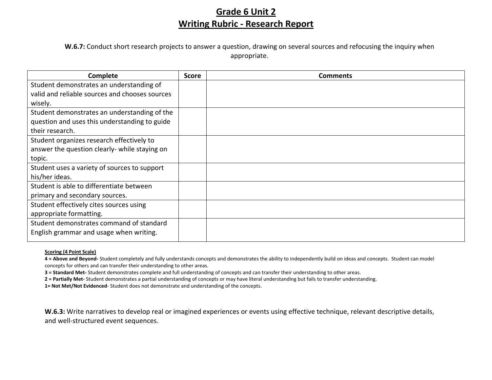# **Grade 6 Unit 2 Writing Rubric ‐ Research Report**

**W.6.7:** Conduct short research projects to answer <sup>a</sup> question, drawing on several sources and refocusing the inquiry when appropriate.

| Complete                                       | <b>Score</b> | <b>Comments</b> |
|------------------------------------------------|--------------|-----------------|
| Student demonstrates an understanding of       |              |                 |
| valid and reliable sources and chooses sources |              |                 |
| wisely.                                        |              |                 |
| Student demonstrates an understanding of the   |              |                 |
| question and uses this understanding to guide  |              |                 |
| their research.                                |              |                 |
| Student organizes research effectively to      |              |                 |
| answer the question clearly- while staying on  |              |                 |
| topic.                                         |              |                 |
| Student uses a variety of sources to support   |              |                 |
| his/her ideas.                                 |              |                 |
| Student is able to differentiate between       |              |                 |
| primary and secondary sources.                 |              |                 |
| Student effectively cites sources using        |              |                 |
| appropriate formatting.                        |              |                 |
| Student demonstrates command of standard       |              |                 |
| English grammar and usage when writing.        |              |                 |
|                                                |              |                 |

#### **Scoring (4 Point Scale)**

**4 <sup>=</sup> Above and Beyond‐** Student completely and fully understands concepts and demonstrates the ability to independently build on ideas and concepts. Student can model concepts for others and can transfer their understanding to other areas.

**3 <sup>=</sup> Standard Met‐** Student demonstrates complete and full understanding of concepts and can transfer their understanding to other areas.

**2 <sup>=</sup> Partially Met‐** Student demonstrates <sup>a</sup> partial understanding of concepts or may have literal understanding but fails to transfer understanding.

**1= Not Met/Not Evidenced**‐ Student does not demonstrate and understanding of the concepts.

**W.6.3:** Write narratives to develop real or imagined experiences or events using effective technique, relevant descriptive details, and well‐structured event sequences.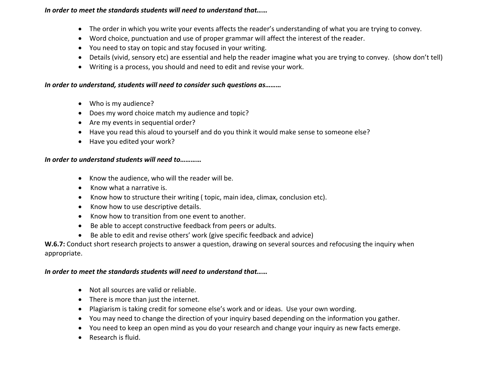### *In order to meet the standards students will need to understand that……*

- The order in which you write your events affects the reader's understanding of what you are trying to convey.
- Word choice, punctuation and use of proper grammar will affect the interest of the reader.
- You need to stay on topic and stay focused in your writing.
- Details (vivid, sensory etc) are essential and help the reader imagine what you are trying to convey. (show don't tell)
- Writing is <sup>a</sup> process, you should and need to edit and revise your work.

## *In order to understand, students will need to consider such questions as………*

- Who is my audience?
- Does my word choice match my audience and topic?
- Are my events in sequential order?
- Have you read this aloud to yourself and do you think it would make sense to someone else?
- Have you edited your work?

## *In order to understand students will need to…………*

- Know the audience, who will the reader will be.
- Know what a narrative is.
- Know how to structure their writing ( topic, main idea, climax, conclusion etc).
- Know how to use descriptive details.
- Know how to transition from one event to another.
- Be able to accept constructive feedback from peers or adults.
- Be able to edit and revise others' work (give specific feedback and advice)

**W.6.7:** Conduct short research projects to answer <sup>a</sup> question, drawing on several sources and refocusing the inquiry when appropriate.

## *In order to meet the standards students will need to understand that……*

- Not all sources are valid or reliable.
- There is more than just the internet.
- Plagiarism is taking credit for someone else's work and or ideas. Use your own wording.
- You may need to change the direction of your inquiry based depending on the information you gather.
- You need to keep an open mind as you do your research and change your inquiry as new facts emerge.
- Research is fluid.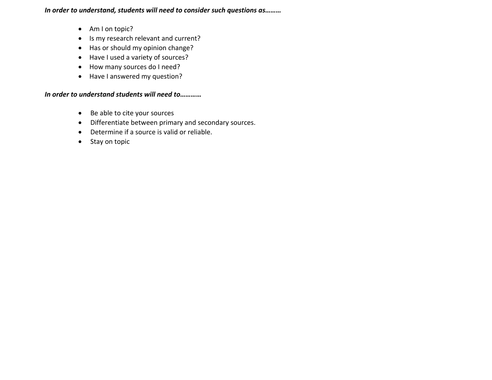#### *In order to understand, students will need to consider such questions as………*

- Am I on topic?
- Is my research relevant and current?
- Has or should my opinion change?
- Have I used a variety of sources?
- How many sources do I need?
- Have I answered my question?

## *In order to understand students will need to…………*

- Be able to cite your sources
- Differentiate between primary and secondary sources.
- Determine if <sup>a</sup> source is valid or reliable.
- Stay on topic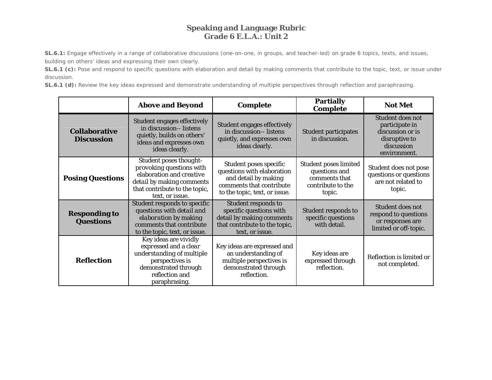## **Speaking and Language Rubric Grade 6 E.L.A.: Unit 2**

**SL.6.1:** Engage effectively in a range of collaborative discussions (one-on-one, in groups, and teacher-led) on grade 6 topics, texts, and issues, building on others' ideas and expressing their own clearly.

SL.6.1 (c): Pose and respond to specific questions with elaboration and detail by making comments that contribute to the topic, text, or issue under discussion.

SL.6.1 (d): Review the key ideas expressed and demonstrate understanding of multiple perspectives through reflection and paraphrasing.

|                                           | <b>Above and Beyond</b>                                                                                                                                                       | <b>Complete</b>                                                                                                                           | <b>Partially</b><br><b>Complete</b>                                                           | <b>Not Met</b>                                                                                               |
|-------------------------------------------|-------------------------------------------------------------------------------------------------------------------------------------------------------------------------------|-------------------------------------------------------------------------------------------------------------------------------------------|-----------------------------------------------------------------------------------------------|--------------------------------------------------------------------------------------------------------------|
| <b>Collaborative</b><br><b>Discussion</b> | <b>Student engages effectively</b><br>in discussion-- listens<br>quietly, builds on others'<br><i>ideas</i> and expresses own<br>ideas clearly.                               | <b>Student engages effectively</b><br>in discussion-- listens<br>quietly, and expresses own<br>ideas clearly.                             | <b>Student participates</b><br>in discussion.                                                 | <b>Student does not</b><br>participate in<br>discussion or is<br>disruptive to<br>discussion<br>environment. |
| <b>Posing Questions</b>                   | Student poses thought-<br><i>provoking</i> questions with<br>elaboration and <i>creative</i><br>detail by making comments<br>that contribute to the topic,<br>text, or issue. | Student poses specific<br>questions with elaboration<br>and detail by making<br>comments that contribute<br>to the topic, text, or issue. | <b>Student poses limited</b><br>questions and<br>comments that<br>contribute to the<br>topic. | Student does not pose<br>questions or questions<br>are not related to<br>topic.                              |
| <b>Responding to</b><br><b>Questions</b>  | Student responds to specific<br>questions with detail and<br>elaboration by making<br>comments that contribute<br>to the topic, text, or issue.                               | <b>Student responds to</b><br>specific questions with<br>detail by making comments<br>that contribute to the topic,<br>text, or issue.    | <b>Student responds to</b><br>specific questions<br>with detail.                              | <b>Student does not</b><br>respond to questions<br>or responses are<br>limited or off-topic.                 |
| <b>Reflection</b>                         | Key ideas are vividly<br>expressed and a clear<br>understanding of multiple<br>perspectives is<br>demonstrated through<br>reflection and<br>paraphrasing.                     | Key ideas are expressed and<br>an understanding of<br>multiple perspectives is<br>demonstrated through<br>reflection.                     | Key ideas are<br>expressed through<br>reflection.                                             | Reflection is limited or<br>not completed.                                                                   |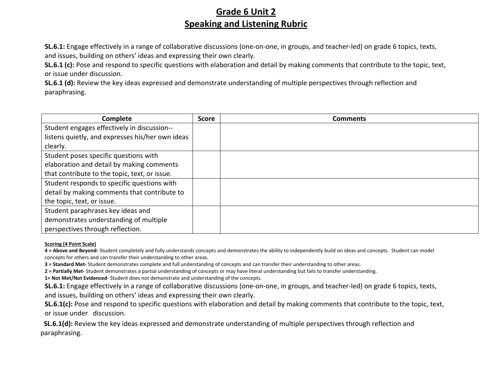# **Grade 6 Unit 2 Speaking and Listening Rubric**

**SL.6.1:** Engage effectively in <sup>a</sup> range of collaborative discussions (one‐on‐one, in groups, and teacher‐led) on grade 6 topics, texts, and issues, building on others' ideas and expressing their own clearly.

**SL.6.1 (c):** Pose and respond to specific questions with elaboration and detail by making comments that contribute to the topic, text, or issue under discussion.

**SL.6.1 (d):** Review the key ideas expressed and demonstrate understanding of multiple perspectives through reflection and paraphrasing.

| Complete                                         | <b>Score</b> | <b>Comments</b> |
|--------------------------------------------------|--------------|-----------------|
| Student engages effectively in discussion--      |              |                 |
| listens quietly, and expresses his/her own ideas |              |                 |
| clearly.                                         |              |                 |
| Student poses specific questions with            |              |                 |
| elaboration and detail by making comments        |              |                 |
| that contribute to the topic, text, or issue.    |              |                 |
| Student responds to specific questions with      |              |                 |
| detail by making comments that contribute to     |              |                 |
| the topic, text, or issue.                       |              |                 |
| Student paraphrases key ideas and                |              |                 |
| demonstrates understanding of multiple           |              |                 |
| perspectives through reflection.                 |              |                 |

#### **Scoring (4 Point Scale)**

**4 <sup>=</sup> Above and Beyond‐** Student completely and fully understands concepts and demonstrates the ability to independently build on ideas and concepts. Student can model concepts for others and can transfer their understanding to other areas.

**3 <sup>=</sup> Standard Met‐** Student demonstrates complete and full understanding of concepts and can transfer their understanding to other areas.

**2 <sup>=</sup> Partially Met‐** Student demonstrates <sup>a</sup> partial understanding of concepts or may have literal understanding but fails to transfer understanding.

**1= Not Met/Not Evidenced**‐ Student does not demonstrate and understanding of the concepts.

**SL.6.1:** Engage effectively in <sup>a</sup> range of collaborative discussions (one‐on‐one, in groups, and teacher‐led) on grade 6 topics, texts, and issues, building on others' ideas and expressing their own clearly.

**SL.6.1(c):** Pose and respond to specific questions with elaboration and detail by making comments that contribute to the topic, text, or issue under discussion.

**SL.6.1(d):** Review the key ideas expressed and demonstrate understanding of multiple perspectives through reflection and paraphrasing.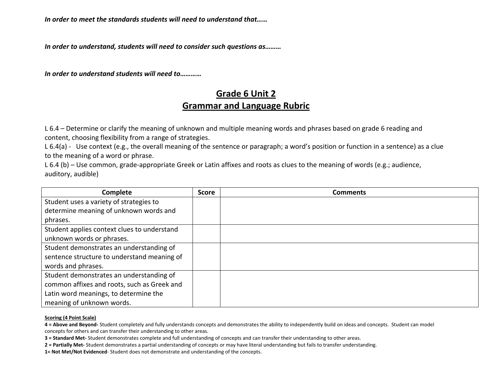*In order to meet the standards students will need to understand that……*

*In order to understand, students will need to consider such questions as………*

*In order to understand students will need to…………*

# **Grade 6 Unit 2 Grammar and Language Rubric**

L 6.4 – Determine or clarify the meaning of unknown and multiple meaning words and phrases based on grade 6 reading and content, choosing flexibility from <sup>a</sup> range of strategies.

L 6.4(a) - Use context (e.g., the overall meaning of the sentence or paragraph; a word's position or function in a sentence) as a clue to the meaning of <sup>a</sup> word or phrase.

L 6.4 (b) – Use common, grade‐appropriate Greek or Latin affixes and roots as clues to the meaning of words (e.g.; audience, auditory, audible)

| Complete                                    | <b>Score</b> | <b>Comments</b> |
|---------------------------------------------|--------------|-----------------|
| Student uses a variety of strategies to     |              |                 |
| determine meaning of unknown words and      |              |                 |
| phrases.                                    |              |                 |
| Student applies context clues to understand |              |                 |
| unknown words or phrases.                   |              |                 |
| Student demonstrates an understanding of    |              |                 |
| sentence structure to understand meaning of |              |                 |
| words and phrases.                          |              |                 |
| Student demonstrates an understanding of    |              |                 |
| common affixes and roots, such as Greek and |              |                 |
| Latin word meanings, to determine the       |              |                 |
| meaning of unknown words.                   |              |                 |

#### **Scoring (4 Point Scale)**

**4 <sup>=</sup> Above and Beyond‐** Student completely and fully understands concepts and demonstrates the ability to independently build on ideas and concepts. Student can model concepts for others and can transfer their understanding to other areas.

**3 <sup>=</sup> Standard Met‐** Student demonstrates complete and full understanding of concepts and can transfer their understanding to other areas.

**2 <sup>=</sup> Partially Met‐** Student demonstrates <sup>a</sup> partial understanding of concepts or may have literal understanding but fails to transfer understanding.

**1= Not Met/Not Evidenced**‐ Student does not demonstrate and understanding of the concepts.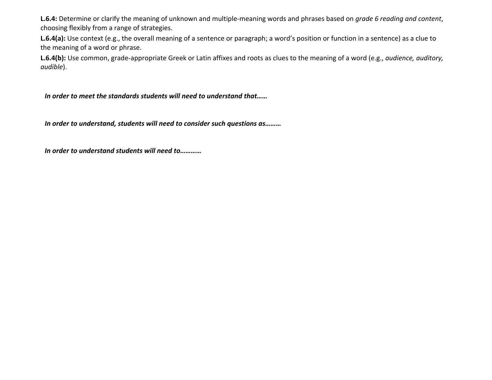**L.6.4:** Determine or clarify the meaning of unknown and multiple‐meaning words and phrases based on *grade 6 reading and content*, choosing flexibly from <sup>a</sup> range of strategies.

**L.6.4(a):** Use context (e.g., the overall meaning of <sup>a</sup> sentence or paragraph; <sup>a</sup> word's position or function in <sup>a</sup> sentence) as <sup>a</sup> clue to the meaning of <sup>a</sup> word or phrase.

**L.6.4(b):** Use common, grade‐appropriate Greek or Latin affixes and roots as clues to the meaning of <sup>a</sup> word (e.g., *audience, auditory, audible*).

*In order to meet the standards students will need to understand that……*

*In order to understand, students will need to consider such questions as………*

*In order to understand students will need to…………*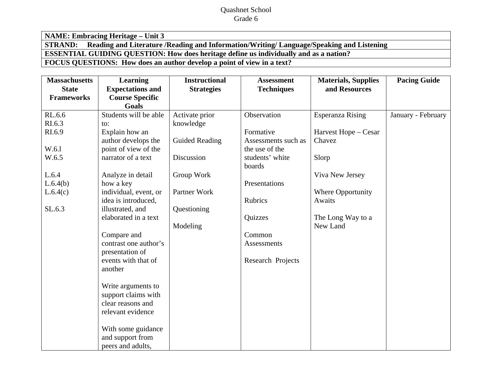### Quashnet School Grade 6

**NAME: Embracing Heritage – Unit 3** 

**STRAND: Reading and Literature /Reading and Information/Writing/ Language/Speaking and Listening** 

**ESSENTIAL GUIDING QUESTION: How does heritage define us individually and as a nation?** 

**FOCUS QUESTIONS: How does an author develop a point of view in a text?** 

| <b>Massachusetts</b> | <b>Learning</b>         | <b>Instructional</b>  | <b>Assessment</b>   | <b>Materials, Supplies</b> | <b>Pacing Guide</b> |
|----------------------|-------------------------|-----------------------|---------------------|----------------------------|---------------------|
| <b>State</b>         | <b>Expectations and</b> | <b>Strategies</b>     | <b>Techniques</b>   | and Resources              |                     |
| <b>Frameworks</b>    | <b>Course Specific</b>  |                       |                     |                            |                     |
|                      | <b>Goals</b>            |                       |                     |                            |                     |
| RL.6.6               | Students will be able   | Activate prior        | Observation         | <b>Esperanza Rising</b>    | January - February  |
| RI.6.3               | to:                     | knowledge             |                     |                            |                     |
| RI.6.9               | Explain how an          |                       | Formative           | Harvest Hope – Cesar       |                     |
|                      | author develops the     | <b>Guided Reading</b> | Assessments such as | Chavez                     |                     |
| W.6.1                | point of view of the    |                       | the use of the      |                            |                     |
| W.6.5                | narrator of a text      | Discussion            | students' white     | Slorp                      |                     |
|                      |                         |                       | boards              |                            |                     |
| L.6.4                | Analyze in detail       | Group Work            |                     | Viva New Jersey            |                     |
| L.6.4(b)             | how a key               |                       | Presentations       |                            |                     |
| L.6.4(c)             | individual, event, or   | Partner Work          |                     | Where Opportunity          |                     |
|                      | idea is introduced,     |                       | Rubrics             | Awaits                     |                     |
| SL.6.3               | illustrated, and        | Questioning           |                     |                            |                     |
|                      | elaborated in a text    |                       | Quizzes             | The Long Way to a          |                     |
|                      |                         | Modeling              |                     | New Land                   |                     |
|                      | Compare and             |                       | Common              |                            |                     |
|                      | contrast one author's   |                       | Assessments         |                            |                     |
|                      | presentation of         |                       |                     |                            |                     |
|                      | events with that of     |                       | Research Projects   |                            |                     |
|                      | another                 |                       |                     |                            |                     |
|                      |                         |                       |                     |                            |                     |
|                      | Write arguments to      |                       |                     |                            |                     |
|                      | support claims with     |                       |                     |                            |                     |
|                      | clear reasons and       |                       |                     |                            |                     |
|                      | relevant evidence       |                       |                     |                            |                     |
|                      | With some guidance      |                       |                     |                            |                     |
|                      | and support from        |                       |                     |                            |                     |
|                      |                         |                       |                     |                            |                     |
|                      | peers and adults,       |                       |                     |                            |                     |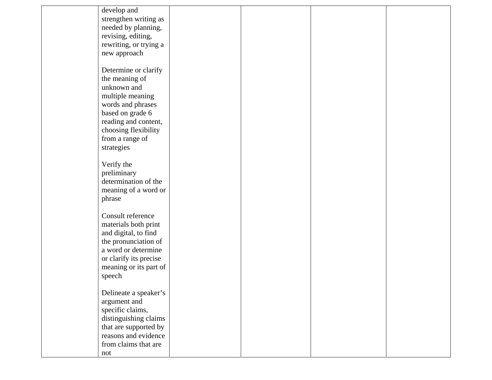| develop and            |  |  |
|------------------------|--|--|
| strengthen writing as  |  |  |
| needed by planning,    |  |  |
| revising, editing,     |  |  |
| rewriting, or trying a |  |  |
|                        |  |  |
| new approach           |  |  |
|                        |  |  |
| Determine or clarify   |  |  |
| the meaning of         |  |  |
| unknown and            |  |  |
| multiple meaning       |  |  |
| words and phrases      |  |  |
|                        |  |  |
| based on grade 6       |  |  |
| reading and content,   |  |  |
| choosing flexibility   |  |  |
| from a range of        |  |  |
| strategies             |  |  |
|                        |  |  |
| Verify the             |  |  |
| preliminary            |  |  |
| determination of the   |  |  |
|                        |  |  |
| meaning of a word or   |  |  |
| phrase                 |  |  |
|                        |  |  |
| Consult reference      |  |  |
| materials both print   |  |  |
| and digital, to find   |  |  |
| the pronunciation of   |  |  |
| a word or determine    |  |  |
| or clarify its precise |  |  |
| meaning or its part of |  |  |
|                        |  |  |
| speech                 |  |  |
|                        |  |  |
| Delineate a speaker's  |  |  |
| argument and           |  |  |
| specific claims,       |  |  |
| distinguishing claims  |  |  |
| that are supported by  |  |  |
| reasons and evidence   |  |  |
| from claims that are   |  |  |
|                        |  |  |
| not                    |  |  |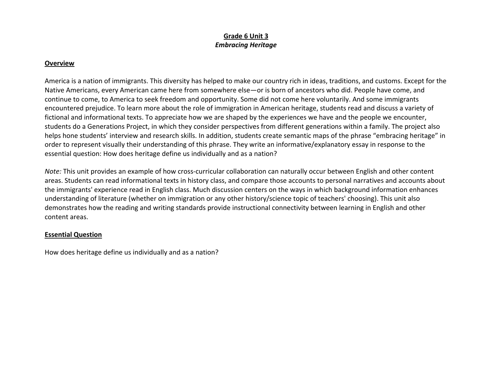## **Grade 6 Unit 3** *Embracing Heritage*

### **Overview**

America is a nation of immigrants. This diversity has helped to make our country rich in ideas, traditions, and customs. Except for the Native Americans, every American came here from somewhere else—or is born of ancestors who did. People have come, and continue to come, to America to seek freedom and opportunity. Some did not come here voluntarily. And some immigrants encountered prejudice. To learn more about the role of immigration in American heritage, students read and discuss <sup>a</sup> variety of fictional and informational texts. To appreciate how we are shaped by the experiences we have and the people we encounter, students do <sup>a</sup> Generations Project, in which they consider perspectives from different generations within <sup>a</sup> family. The project also helps hone students' interview and research skills. In addition, students create semantic maps of the phrase "embracing heritage" in order to represent visually their understanding of this phrase. They write an informative/explanatory essay in response to the essential question: How does heritage define us individually and as <sup>a</sup> nation?

*Note:* This unit provides an example of how cross-curricular collaboration can naturally occur between English and other content areas. Students can read informational texts in history class, and compare those accounts to personal narratives and accounts about the immigrants' experience read in English class. Much discussion centers on the ways in which background information enhances understanding of literature (whether on immigration or any other history/science topic of teachers' choosing). This unit also demonstrates how the reading and writing standards provide instructional connectivity between learning in English and other content areas.

### **Essential Question**

How does heritage define us individually and as <sup>a</sup> nation?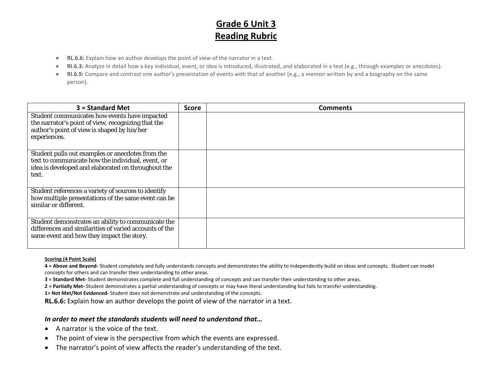# **Grade 6 Unit 3 Reading Rubric**

- $\bullet$ **RL.6.6:** Explain how an author develops the point of view of the narrator in <sup>a</sup> text.
- ٠ **RI.6.3:** Analyze in detail how <sup>a</sup> key individual, event, or idea is introduced, illustrated, and elaborated in <sup>a</sup> text (e.g., through examples or anecdotes).
- $\bullet$  **RI.6.9:** Compare and contrast one author's presentation of events with that of another (e.g., <sup>a</sup> memoir written by and <sup>a</sup> biography on the same person).

| 3 = Standard Met                                                                                                                                                     | <b>Score</b> | <b>Comments</b> |
|----------------------------------------------------------------------------------------------------------------------------------------------------------------------|--------------|-----------------|
| Student communicates how events have impacted<br>the narrator's point of view, recognizing that the<br>author's point of view is shaped by his/her<br>experiences.   |              |                 |
| Student pulls out examples or anecdotes from the<br>text to communicate how the individual, event, or<br>idea is developed and elaborated on throughout the<br>text. |              |                 |
| Student references a variety of sources to identify<br>how multiple presentations of the same event can be<br>similar or different.                                  |              |                 |
| Student demonstrates an ability to communicate the<br>differences and similarities of varied accounts of the<br>same event and how they impact the story.            |              |                 |

#### **Scoring (4 Point Scale)**

**4 <sup>=</sup> Above and Beyond‐** Student completely and fully understands concepts and demonstrates the ability to independently build on ideas and concepts. Student can model concepts for others and can transfer their understanding to other areas.

**3 <sup>=</sup> Standard Met‐** Student demonstrates complete and full understanding of concepts and can transfer their understanding to other areas.

**2 <sup>=</sup> Partially Met‐** Student demonstrates <sup>a</sup> partial understanding of concepts or may have literal understanding but fails to transfer understanding.

**1= Not Met/Not Evidenced**‐ Student does not demonstrate and understanding of the concepts.

**RL.6.6:** Explain how an author develops the point of view of the narrator in <sup>a</sup> text.

#### *In order to meet the standards students will need to understand that…*

- A narrator is the voice of the text.
- $\bullet$ The point of view is the perspective from which the events are expressed.
- $\bullet$ The narrator's point of view affects the reader's understanding of the text.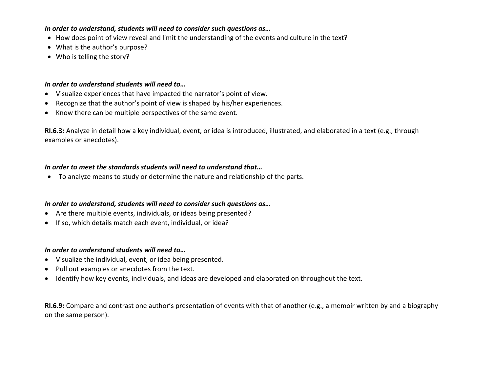#### *In order to understand, students will need to consider such questions as…*

- **•** How does point of view reveal and limit the understanding of the events and culture in the text?
- What is the author's purpose?
- Who is telling the story?

#### *In order to understand students will need to…*

- Visualize experiences that have impacted the narrator's point of view.
- Recognize that the author's point of view is shaped by his/her experiences.
- Know there can be multiple perspectives of the same event.

**RI.6.3:** Analyze in detail how <sup>a</sup> key individual, event, or idea is introduced, illustrated, and elaborated in <sup>a</sup> text (e.g., through examples or anecdotes).

## *In order to meet the standards students will need to understand that…*

To analyze means to study or determine the nature and relationship of the parts.

## *In order to understand, students will need to consider such questions as…*

- Are there multiple events, individuals, or ideas being presented?
- If so, which details match each event, individual, or idea?

## *In order to understand students will need to…*

- Visualize the individual, event, or idea being presented.
- Pull out examples or anecdotes from the text.
- Identify how key events, individuals, and ideas are developed and elaborated on throughout the text.

**RI.6.9:** Compare and contrast one author's presentation of events with that of another (e.g., <sup>a</sup> memoir written by and <sup>a</sup> biography on the same person).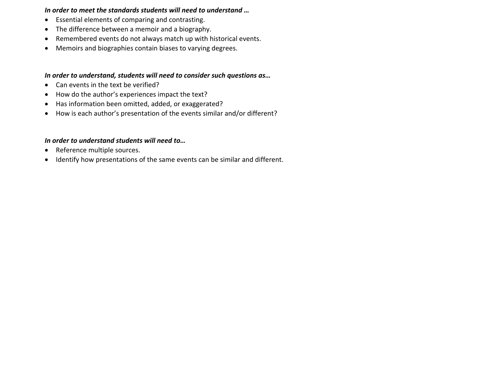#### *In order to meet the standards students will need to understand …*

- Essential elements of comparing and contrasting.
- The difference between <sup>a</sup> memoir and <sup>a</sup> biography.
- $\bullet$ Remembered events do not always match up with historical events.
- Memoirs and biographies contain biases to varying degrees.

#### *In order to understand, students will need to consider such questions as…*

- Can events in the text be verified?
- How do the author's experiences impact the text?
- Has information been omitted, added, or exaggerated?
- How is each author's presentation of the events similar and/or different?

## *In order to understand students will need to…*

- Reference multiple sources.
- **•** Identify how presentations of the same events can be similar and different.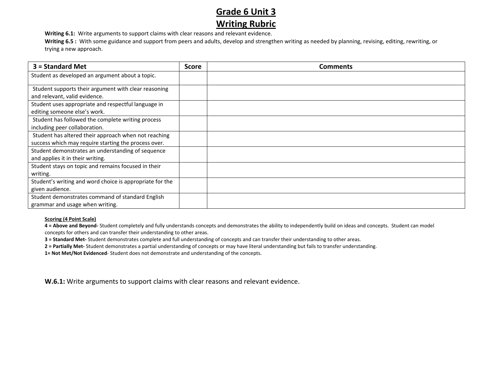# **Grade 6 Unit 3 Writing Rubric**

**Writing 6.1:** Write arguments to support claims with clear reasons and relevant evidence.

Writing 6.5 : With some guidance and support from peers and adults, develop and strengthen writing as needed by planning, revising, editing, rewriting, or trying <sup>a</sup> new approach.

| 3 = Standard Met                                                                      | <b>Score</b> | <b>Comments</b> |
|---------------------------------------------------------------------------------------|--------------|-----------------|
| Student as developed an argument about a topic.                                       |              |                 |
| Student supports their argument with clear reasoning<br>and relevant, valid evidence. |              |                 |
| Student uses appropriate and respectful language in                                   |              |                 |
| editing someone else's work.                                                          |              |                 |
| Student has followed the complete writing process                                     |              |                 |
| including peer collaboration.                                                         |              |                 |
| Student has altered their approach when not reaching                                  |              |                 |
| success which may require starting the process over.                                  |              |                 |
| Student demonstrates an understanding of sequence                                     |              |                 |
| and applies it in their writing.                                                      |              |                 |
| Student stays on topic and remains focused in their                                   |              |                 |
| writing.                                                                              |              |                 |
| Student's writing and word choice is appropriate for the                              |              |                 |
| given audience.                                                                       |              |                 |
| Student demonstrates command of standard English                                      |              |                 |
| grammar and usage when writing.                                                       |              |                 |

#### **Scoring (4 Point Scale)**

**4 <sup>=</sup> Above and Beyond‐** Student completely and fully understands concepts and demonstrates the ability to independently build on ideas and concepts. Student can model concepts for others and can transfer their understanding to other areas.

**3 <sup>=</sup> Standard Met‐** Student demonstrates complete and full understanding of concepts and can transfer their understanding to other areas.

**2 <sup>=</sup> Partially Met‐** Student demonstrates <sup>a</sup> partial understanding of concepts or may have literal understanding but fails to transfer understanding.

**1= Not Met/Not Evidenced**‐ Student does not demonstrate and understanding of the concepts.

**W.6.1:** Write arguments to support claims with clear reasons and relevant evidence.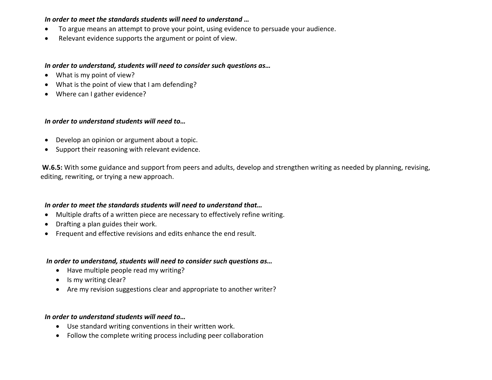#### *In order to meet the standards students will need to understand …*

- $\bullet$ To argue means an attempt to prove your point, using evidence to persuade your audience.
- . Relevant evidence supports the argument or point of view.

### *In order to understand, students will need to consider such questions as…*

- What is my point of view?
- What is the point of view that I am defending?
- Where can I gather evidence?

#### *In order to understand students will need to…*

- Develop an opinion or argument about <sup>a</sup> topic.
- 0 Support their reasoning with relevant evidence.

**W.6.5:** With some guidance and support from peers and adults, develop and strengthen writing as needed by planning, revising, editing, rewriting, or trying <sup>a</sup> new approach.

### *In order to meet the standards students will need to understand that…*

- Multiple drafts of <sup>a</sup> written piece are necessary to effectively refine writing.
- Drafting a plan guides their work.
- Frequent and effective revisions and edits enhance the end result.

### *In order to understand, students will need to consider such questions as…*

- Have multiple people read my writing?
- Is my writing clear?
- Are my revision suggestions clear and appropriate to another writer?

#### *In order to understand students will need to…*

- Use standard writing conventions in their written work.
- Follow the complete writing process including peer collaboration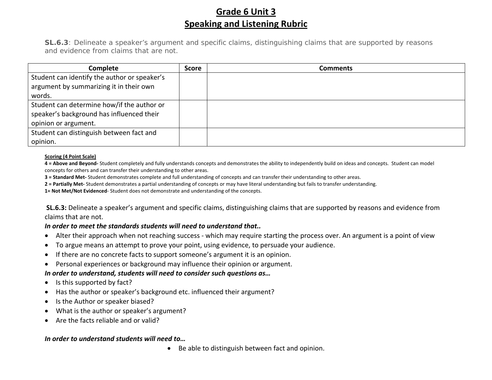# **Grade 6 Unit 3 Speaking and Listening Rubric**

**SL.6.3**: Delineate a speaker's argument and specific claims, distinguishing claims that are supported by reasons and evidence from claims that are not.

| <b>Complete</b>                                                                                                 | <b>Score</b> | <b>Comments</b> |
|-----------------------------------------------------------------------------------------------------------------|--------------|-----------------|
| Student can identify the author or speaker's<br>argument by summarizing it in their own<br>words.               |              |                 |
| Student can determine how/if the author or<br>speaker's background has influenced their<br>opinion or argument. |              |                 |
| Student can distinguish between fact and<br>opinion.                                                            |              |                 |

#### **Scoring (4 Point Scale)**

**4 <sup>=</sup> Above and Beyond‐** Student completely and fully understands concepts and demonstrates the ability to independently build on ideas and concepts. Student can model concepts for others and can transfer their understanding to other areas.

- **3 <sup>=</sup> Standard Met‐** Student demonstrates complete and full understanding of concepts and can transfer their understanding to other areas.
- **2 <sup>=</sup> Partially Met‐** Student demonstrates <sup>a</sup> partial understanding of concepts or may have literal understanding but fails to transfer understanding.

**1= Not Met/Not Evidenced**‐ Student does not demonstrate and understanding of the concepts.

**SL.6.3:** Delineate <sup>a</sup> speaker's argument and specific claims, distinguishing claims that are supported by reasons and evidence from claims that are not.

### *In order to meet the standards students will need to understand that..*

- Alter their approach when not reaching success which may require starting the process over. An argument is a point of view
- . To argue means an attempt to prove your point, using evidence, to persuade your audience.
- 0 • If there are no concrete facts to support someone's argument it is an opinion.
- 0 Personal experiences or background may influence their opinion or argument.

### *In order to understand, students will need to consider such questions as…*

- Is this supported by fact?
- . Has the author or speaker's background etc. influenced their argument?
- 0 • Is the Author or speaker biased?
- 0 What is the author or speaker's argument?
- Are the facts reliable and or valid?

### *In order to understand students will need to…*

Be able to distinguish between fact and opinion.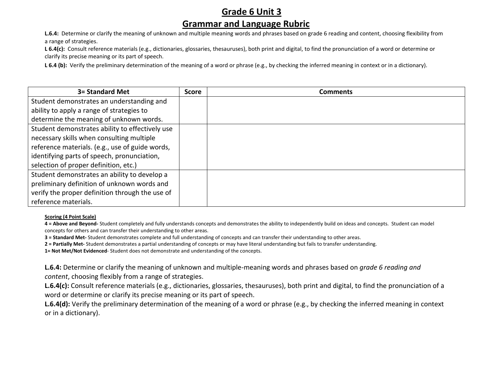# **Grade 6 Unit 3 Grammar and Language Rubric**

**L.6.4:** Determine or clarify the meaning of unknown and multiple meaning words and phrases based on grade 6 reading and content, choosing flexibility from a range of strategies.

**L 6.4(c):** Consult reference materials (e.g., dictionaries, glossaries, thesauruses), both print and digital, to find the pronunciation of <sup>a</sup> word or determine or clarify its precise meaning or its part of speech.

**L 6.4 (b):** Verify the preliminary determination of the meaning of <sup>a</sup> word or phrase (e.g., by checking the inferred meaning in context or in <sup>a</sup> dictionary).

| 3= Standard Met                                 | <b>Score</b> | <b>Comments</b> |
|-------------------------------------------------|--------------|-----------------|
| Student demonstrates an understanding and       |              |                 |
| ability to apply a range of strategies to       |              |                 |
| determine the meaning of unknown words.         |              |                 |
| Student demonstrates ability to effectively use |              |                 |
| necessary skills when consulting multiple       |              |                 |
| reference materials. (e.g., use of guide words, |              |                 |
| identifying parts of speech, pronunciation,     |              |                 |
| selection of proper definition, etc.)           |              |                 |
| Student demonstrates an ability to develop a    |              |                 |
| preliminary definition of unknown words and     |              |                 |
| verify the proper definition through the use of |              |                 |
| reference materials.                            |              |                 |

#### **Scoring (4 Point Scale)**

**4 <sup>=</sup> Above and Beyond‐** Student completely and fully understands concepts and demonstrates the ability to independently build on ideas and concepts. Student can model concepts for others and can transfer their understanding to other areas.

**3 <sup>=</sup> Standard Met‐** Student demonstrates complete and full understanding of concepts and can transfer their understanding to other areas.

**2 <sup>=</sup> Partially Met‐** Student demonstrates <sup>a</sup> partial understanding of concepts or may have literal understanding but fails to transfer understanding.

**1= Not Met/Not Evidenced**‐ Student does not demonstrate and understanding of the concepts.

**L.6.4:** Determine or clarify the meaning of unknown and multiple‐meaning words and phrases based on *grade 6 reading and content*, choosing flexibly from <sup>a</sup> range of strategies.

**L.6.4(c):** Consult reference materials (e.g., dictionaries, glossaries, thesauruses), both print and digital, to find the pronunciation of <sup>a</sup> word or determine or clarify its precise meaning or its part of speech.

**L.6.4(d):** Verify the preliminary determination of the meaning of <sup>a</sup> word or phrase (e.g., by checking the inferred meaning in context or in <sup>a</sup> dictionary).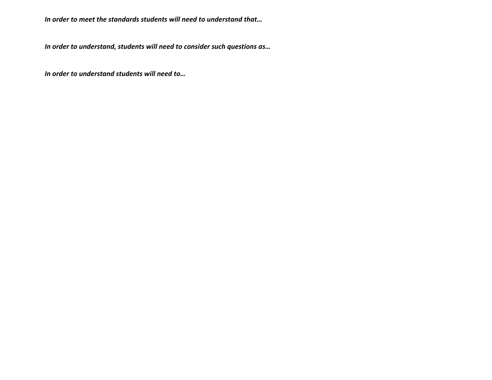*In order to meet the standards students will need to understand that…*

*In order to understand, students will need to consider such questions as…*

*In order to understand students will need to…*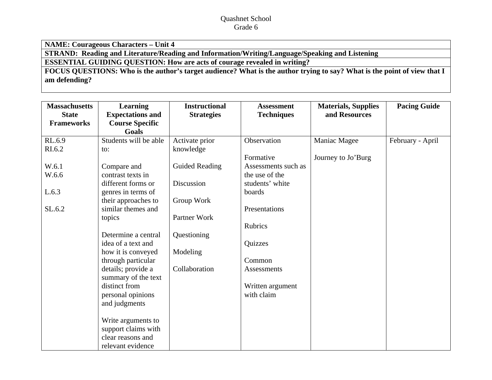## Quashnet School Grade 6

**NAME: Courageous Characters – Unit 4** 

**STRAND: Reading and Literature/Reading and Information/Writing/Language/Speaking and Listening**

**ESSENTIAL GUIDING QUESTION: How are acts of courage revealed in writing?** 

**FOCUS QUESTIONS: Who is the author's target audience? What is the author trying to say? What is the point of view that I am defending?** 

| <b>Massachusetts</b><br><b>State</b><br><b>Frameworks</b> | <b>Learning</b><br><b>Expectations and</b><br><b>Course Specific</b><br><b>Goals</b> | <b>Instructional</b><br><b>Strategies</b> | <b>Assessment</b><br><b>Techniques</b> | <b>Materials, Supplies</b><br>and Resources | <b>Pacing Guide</b> |
|-----------------------------------------------------------|--------------------------------------------------------------------------------------|-------------------------------------------|----------------------------------------|---------------------------------------------|---------------------|
| RL.6.9                                                    | Students will be able                                                                | Activate prior                            | Observation                            | Maniac Magee                                | February - April    |
| RI.6.2                                                    | to:                                                                                  | knowledge                                 |                                        |                                             |                     |
|                                                           |                                                                                      |                                           | Formative                              | Journey to Jo'Burg                          |                     |
| W.6.1                                                     | Compare and                                                                          | <b>Guided Reading</b>                     | Assessments such as                    |                                             |                     |
| W.6.6                                                     | contrast texts in                                                                    |                                           | the use of the                         |                                             |                     |
|                                                           | different forms or                                                                   | Discussion                                | students' white                        |                                             |                     |
| L.6.3                                                     | genres in terms of                                                                   |                                           | boards                                 |                                             |                     |
|                                                           | their approaches to                                                                  | Group Work                                |                                        |                                             |                     |
| SL.6.2                                                    | similar themes and                                                                   |                                           | Presentations                          |                                             |                     |
|                                                           | topics                                                                               | Partner Work                              |                                        |                                             |                     |
|                                                           |                                                                                      |                                           | Rubrics                                |                                             |                     |
|                                                           | Determine a central                                                                  | Questioning                               |                                        |                                             |                     |
|                                                           | idea of a text and                                                                   |                                           | Quizzes                                |                                             |                     |
|                                                           | how it is conveyed                                                                   | Modeling                                  |                                        |                                             |                     |
|                                                           | through particular                                                                   |                                           | Common                                 |                                             |                     |
|                                                           | details; provide a                                                                   | Collaboration                             | Assessments                            |                                             |                     |
|                                                           | summary of the text                                                                  |                                           |                                        |                                             |                     |
|                                                           | distinct from                                                                        |                                           | Written argument                       |                                             |                     |
|                                                           | personal opinions                                                                    |                                           | with claim                             |                                             |                     |
|                                                           | and judgments                                                                        |                                           |                                        |                                             |                     |
|                                                           |                                                                                      |                                           |                                        |                                             |                     |
|                                                           | Write arguments to                                                                   |                                           |                                        |                                             |                     |
|                                                           | support claims with                                                                  |                                           |                                        |                                             |                     |
|                                                           | clear reasons and                                                                    |                                           |                                        |                                             |                     |
|                                                           | relevant evidence                                                                    |                                           |                                        |                                             |                     |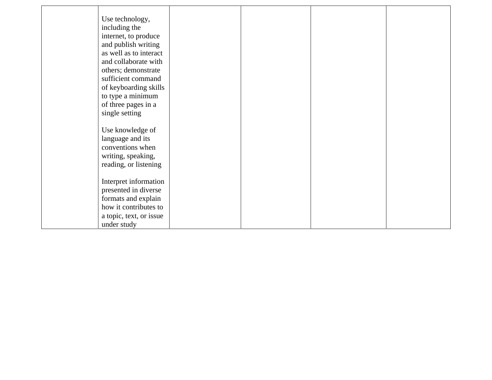| Use technology,         |  |  |
|-------------------------|--|--|
| including the           |  |  |
| internet, to produce    |  |  |
| and publish writing     |  |  |
| as well as to interact  |  |  |
| and collaborate with    |  |  |
| others; demonstrate     |  |  |
| sufficient command      |  |  |
| of keyboarding skills   |  |  |
| to type a minimum       |  |  |
| of three pages in a     |  |  |
| single setting          |  |  |
|                         |  |  |
| Use knowledge of        |  |  |
| language and its        |  |  |
| conventions when        |  |  |
| writing, speaking,      |  |  |
| reading, or listening   |  |  |
|                         |  |  |
| Interpret information   |  |  |
| presented in diverse    |  |  |
| formats and explain     |  |  |
| how it contributes to   |  |  |
| a topic, text, or issue |  |  |
| under study             |  |  |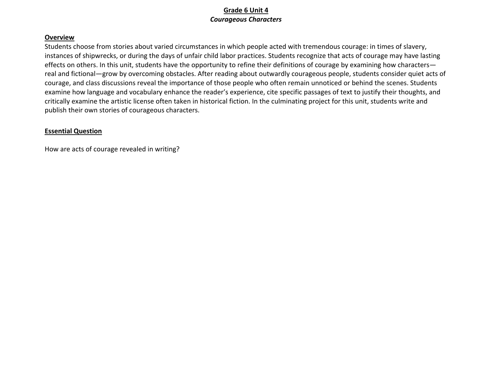## **Grade 6 Unit 4** *Courageous Characters*

#### **Overview**

Students choose from stories about varied circumstances in which people acted with tremendous courage: in times of slavery, instances of shipwrecks, or during the days of unfair child labor practices. Students recognize that acts of courage may have lasting effects on others. In this unit, students have the opportunity to refine their definitions of courage by examining how characters real and fictional—grow by overcoming obstacles. After reading about outwardly courageous people, students consider quiet acts of courage, and class discussions reveal the importance of those people who often remain unnoticed or behind the scenes. Students examine how language and vocabulary enhance the reader's experience, cite specific passages of text to justify their thoughts, and critically examine the artistic license often taken in historical fiction. In the culminating project for this unit, students write and publish their own stories of courageous characters.

### **Essential Question**

How are acts of courage revealed in writing?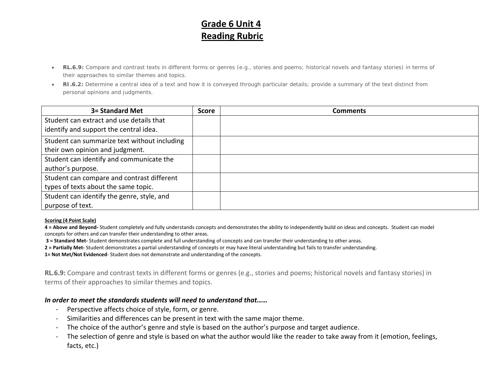# **Grade 6 Unit 4 Reading Rubric**

- **RL.6.9:** Compare and contrast texts in different forms or genres (e.g., stories and poems; historical novels and fantasy stories) in terms of their approaches to similar themes and topics.
- $\bullet$  . **RI.6.2:** Determine a central idea of a text and how it is conveyed through particular details; provide a summary of the text distinct from personal opinions and judgments.

| 3= Standard Met                              | <b>Score</b> | <b>Comments</b> |
|----------------------------------------------|--------------|-----------------|
| Student can extract and use details that     |              |                 |
| identify and support the central idea.       |              |                 |
| Student can summarize text without including |              |                 |
| their own opinion and judgment.              |              |                 |
| Student can identify and communicate the     |              |                 |
| author's purpose.                            |              |                 |
| Student can compare and contrast different   |              |                 |
| types of texts about the same topic.         |              |                 |
| Student can identify the genre, style, and   |              |                 |
| purpose of text.                             |              |                 |

#### **Scoring (4 Point Scale)**

**4 <sup>=</sup> Above and Beyond‐** Student completely and fully understands concepts and demonstrates the ability to independently build on ideas and concepts. Student can model concepts for others and can transfer their understanding to other areas.

- **3 <sup>=</sup> Standard Met‐** Student demonstrates complete and full understanding of concepts and can transfer their understanding to other areas.
- **2 <sup>=</sup> Partially Met‐** Student demonstrates <sup>a</sup> partial understanding of concepts or may have literal understanding but fails to transfer understanding.

**1= Not Met/Not Evidenced**‐ Student does not demonstrate and understanding of the concepts.

**RL.6.9:** Compare and contrast texts in different forms or genres (e.g., stories and poems; historical novels and fantasy stories) in terms of their approaches to similar themes and topics.

#### *In order to meet the standards students will need to understand that……*

- $\blacksquare$ Perspective affects choice of style, form, or genre.
- $\blacksquare$ Similarities and differences can be present in text with the same major theme.
- ‐The choice of the author's genre and style is based on the author's purpose and target audience.
- ‐ The selection of genre and style is based on what the author would like the reader to take away from it (emotion, feelings, facts, etc.)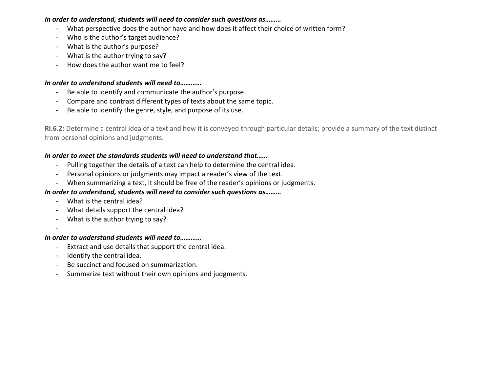#### *In order to understand, students will need to consider such questions as………*

- ‐ What perspective does the author have and how does it affect their choice of written form?
- ‐Who is the author's target audience?
- ‐ What is the author's purpose?
- ‐ What is the author trying to say?
- ‐- How does the author want me to feel?

### *In order to understand students will need to…………*

- ‐Be able to identify and communicate the author's purpose.
- ‐ Compare and contrast different types of texts about the same topic.
- ‐Be able to identify the genre, style, and purpose of its use.

**RI.6.2:** Determine <sup>a</sup> central idea of <sup>a</sup> text and how it is conveyed through particular details; provide <sup>a</sup> summary of the text distinct from personal opinions and judgments.

## *In order to meet the standards students will need to understand that……*

- ‐Pulling together the details of <sup>a</sup> text can help to determine the central idea.
- $\blacksquare$ Personal opinions or judgments may impact <sup>a</sup> reader's view of the text.
- ‐When summarizing <sup>a</sup> text, it should be free of the reader's opinions or judgments.

## *In order to understand, students will need to consider such questions as………*

- ‐ What is the central idea?
- $\blacksquare$ What details support the central idea?
- $\blacksquare$ What is the author trying to say?
- 

### *In order to understand students will need to…………*

- ‐ Extract and use details that support the central idea.
- $\blacksquare$ Identify the central idea.
- ‐Be succinct and focused on summarization.
- $\blacksquare$ Summarize text without their own opinions and judgments.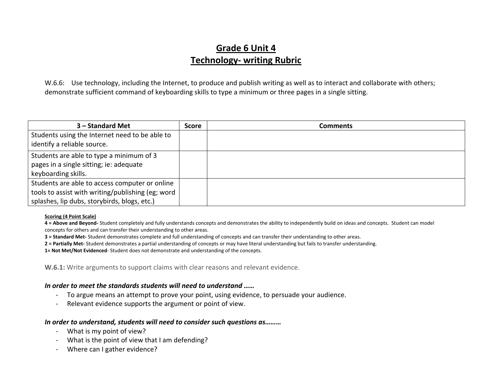# **Grade 6 Unit 4 Technology‐ writing Rubric**

W.6.6: Use technology, including the Internet, to produce and publish writing as well as to interact and collaborate with others; demonstrate sufficient command of keyboarding skills to type <sup>a</sup> minimum or three pages in <sup>a</sup> single sitting.

| 3 - Standard Met                                                                                           | <b>Score</b> | Comments |
|------------------------------------------------------------------------------------------------------------|--------------|----------|
| Students using the Internet need to be able to<br>identify a reliable source.                              |              |          |
| Students are able to type a minimum of 3<br>pages in a single sitting; ie: adequate<br>keyboarding skills. |              |          |
| Students are able to access computer or online<br>tools to assist with writing/publishing (eg; word        |              |          |
| splashes, lip dubs, storybirds, blogs, etc.)                                                               |              |          |

#### **Scoring (4 Point Scale)**

**4 <sup>=</sup> Above and Beyond‐** Student completely and fully understands concepts and demonstrates the ability to independently build on ideas and concepts. Student can model concepts for others and can transfer their understanding to other areas.

**3 <sup>=</sup> Standard Met‐** Student demonstrates complete and full understanding of concepts and can transfer their understanding to other areas.

**2 <sup>=</sup> Partially Met‐** Student demonstrates <sup>a</sup> partial understanding of concepts or may have literal understanding but fails to transfer understanding.

**1= Not Met/Not Evidenced**‐ Student does not demonstrate and understanding of the concepts.

**W.6.1:** Write arguments to support claims with clear reasons and relevant evidence.

#### *In order to meet the standards students will need to understand ……*

- ‐ To argue means an attempt to prove your point, using evidence, to persuade your audience.
- $\equiv$ Relevant evidence supports the argument or point of view.

### *In order to understand, students will need to consider such questions as………*

- ‐ What is my point of view?
- ‐ What is the point of view that I am defending?
- ‐ Where can I gather evidence?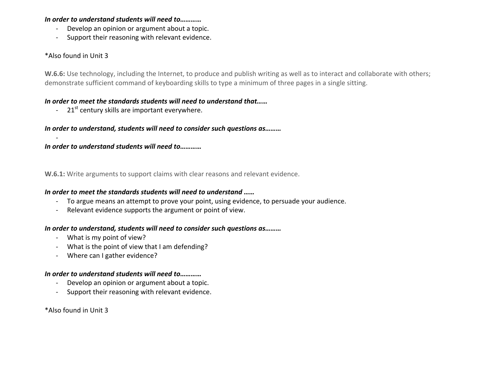#### *In order to understand students will need to…………*

- ‐ Develop an opinion or argument about <sup>a</sup> topic.
- ‐Support their reasoning with relevant evidence.

## \*Also found in Unit 3

**W.6.6:** Use technology, including the Internet, to produce and publish writing as well as to interact and collaborate with others; demonstrate sufficient command of keyboarding skills to type <sup>a</sup> minimum of three pages in <sup>a</sup> single sitting.

### *In order to meet the standards students will need to understand that……*

-  $21^{st}$  century skills are important everywhere.

## *In order to understand, students will need to consider such questions as………*

*In order to understand students will need to…………*

**W.6.1:** Write arguments to support claims with clear reasons and relevant evidence.

### *In order to meet the standards students will need to understand ……*

- ‐ To argue means an attempt to prove your point, using evidence, to persuade your audience.
- ‐ Relevant evidence supports the argument or point of view.

### *In order to understand, students will need to consider such questions as………*

- ‐ What is my point of view?
- ‐ What is the point of view that I am defending?
- ‐ Where can I gather evidence?

## *In order to understand students will need to…………*

- ‐ Develop an opinion or argument about <sup>a</sup> topic.
- ‐Support their reasoning with relevant evidence.

\*Also found in Unit 3